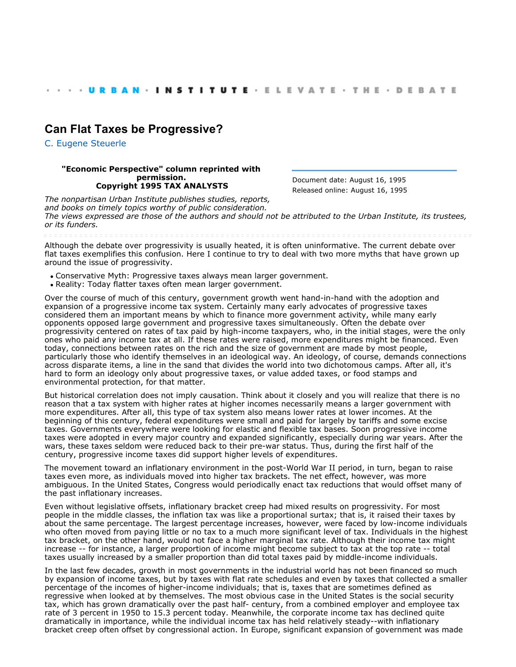## **[Can Flat Taxes be Progressive?](http://webarchive.urban.org/index.cfm)**

[C. Eugene Steuerle](http://www.urban.org/CEugeneSteuerle)

## **"Economic Perspective" column reprinted with permission. Copyright 1995 TAX ANALYSTS**

Document date: August 16, 1995 Released online: August 16, 1995

*The nonpartisan Urban Institute publishes studies, reports, and books on timely topics worthy of public consideration. The views expressed are those of the authors and should not be attributed to the Urban Institute, its trustees, or its funders.*

Although the debate over progressivity is usually heated, it is often uninformative. The current debate over flat taxes exemplifies this confusion. Here I continue to try to deal with two more myths that have grown up around the issue of progressivity.

- Conservative Myth: Progressive taxes always mean larger government.
- Reality: Today flatter taxes often mean larger government.

Over the course of much of this century, government growth went hand-in-hand with the adoption and expansion of a progressive income tax system. Certainly many early advocates of progressive taxes considered them an important means by which to finance more government activity, while many early opponents opposed large government and progressive taxes simultaneously. Often the debate over progressivity centered on rates of tax paid by high-income taxpayers, who, in the initial stages, were the only ones who paid any income tax at all. If these rates were raised, more expenditures might be financed. Even today, connections between rates on the rich and the size of government are made by most people, particularly those who identify themselves in an ideological way. An ideology, of course, demands connections across disparate items, a line in the sand that divides the world into two dichotomous camps. After all, it's hard to form an ideology only about progressive taxes, or value added taxes, or food stamps and environmental protection, for that matter.

But historical correlation does not imply causation. Think about it closely and you will realize that there is no reason that a tax system with higher rates at higher incomes necessarily means a larger government with more expenditures. After all, this type of tax system also means lower rates at lower incomes. At the beginning of this century, federal expenditures were small and paid for largely by tariffs and some excise taxes. Governments everywhere were looking for elastic and flexible tax bases. Soon progressive income taxes were adopted in every major country and expanded significantly, especially during war years. After the wars, these taxes seldom were reduced back to their pre-war status. Thus, during the first half of the century, progressive income taxes did support higher levels of expenditures.

The movement toward an inflationary environment in the post-World War II period, in turn, began to raise taxes even more, as individuals moved into higher tax brackets. The net effect, however, was more ambiguous. In the United States, Congress would periodically enact tax reductions that would offset many of the past inflationary increases.

Even without legislative offsets, inflationary bracket creep had mixed results on progressivity. For most people in the middle classes, the inflation tax was like a proportional surtax; that is, it raised their taxes by about the same percentage. The largest percentage increases, however, were faced by low-income individuals who often moved from paying little or no tax to a much more significant level of tax. Individuals in the highest tax bracket, on the other hand, would not face a higher marginal tax rate. Although their income tax might increase -- for instance, a larger proportion of income might become subject to tax at the top rate -- total taxes usually increased by a smaller proportion than did total taxes paid by middle-income individuals.

In the last few decades, growth in most governments in the industrial world has not been financed so much by expansion of income taxes, but by taxes with flat rate schedules and even by taxes that collected a smaller percentage of the incomes of higher-income individuals; that is, taxes that are sometimes defined as regressive when looked at by themselves. The most obvious case in the United States is the social security tax, which has grown dramatically over the past half- century, from a combined employer and employee tax rate of 3 percent in 1950 to 15.3 percent today. Meanwhile, the corporate income tax has declined quite dramatically in importance, while the individual income tax has held relatively steady--with inflationary bracket creep often offset by congressional action. In Europe, significant expansion of government was made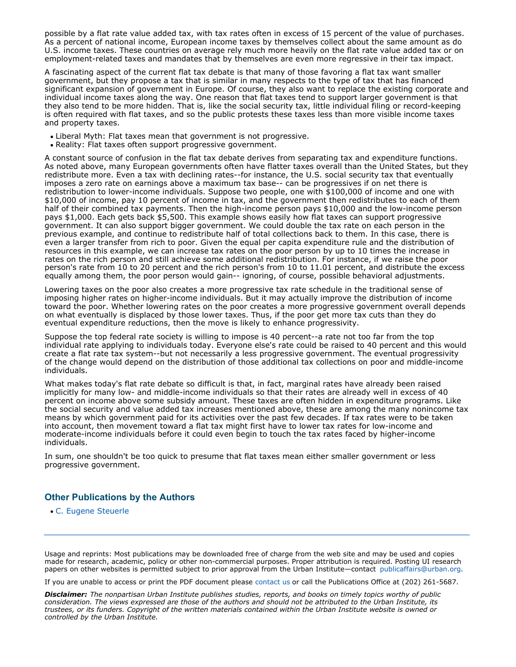possible by a flat rate value added tax, with tax rates often in excess of 15 percent of the value of purchases. As a percent of national income, European income taxes by themselves collect about the same amount as do U.S. income taxes. These countries on average rely much more heavily on the flat rate value added tax or on employment-related taxes and mandates that by themselves are even more regressive in their tax impact.

A fascinating aspect of the current flat tax debate is that many of those favoring a flat tax want smaller government, but they propose a tax that is similar in many respects to the type of tax that has financed significant expansion of government in Europe. Of course, they also want to replace the existing corporate and individual income taxes along the way. One reason that flat taxes tend to support larger government is that they also tend to be more hidden. That is, like the social security tax, little individual filing or record-keeping is often required with flat taxes, and so the public protests these taxes less than more visible income taxes and property taxes.

- Liberal Myth: Flat taxes mean that government is not progressive.
- Reality: Flat taxes often support progressive government.

A constant source of confusion in the flat tax debate derives from separating tax and expenditure functions. As noted above, many European governments often have flatter taxes overall than the United States, but they redistribute more. Even a tax with declining rates--for instance, the U.S. social security tax that eventually imposes a zero rate on earnings above a maximum tax base-- can be progressives if on net there is redistribution to lower-income individuals. Suppose two people, one with \$100,000 of income and one with \$10,000 of income, pay 10 percent of income in tax, and the government then redistributes to each of them half of their combined tax payments. Then the high-income person pays \$10,000 and the low-income person pays \$1,000. Each gets back \$5,500. This example shows easily how flat taxes can support progressive government. It can also support bigger government. We could double the tax rate on each person in the previous example, and continue to redistribute half of total collections back to them. In this case, there is even a larger transfer from rich to poor. Given the equal per capita expenditure rule and the distribution of resources in this example, we can increase tax rates on the poor person by up to 10 times the increase in rates on the rich person and still achieve some additional redistribution. For instance, if we raise the poor person's rate from 10 to 20 percent and the rich person's from 10 to 11.01 percent, and distribute the excess equally among them, the poor person would gain-- ignoring, of course, possible behavioral adjustments.

Lowering taxes on the poor also creates a more progressive tax rate schedule in the traditional sense of imposing higher rates on higher-income individuals. But it may actually improve the distribution of income toward the poor. Whether lowering rates on the poor creates a more progressive government overall depends on what eventually is displaced by those lower taxes. Thus, if the poor get more tax cuts than they do eventual expenditure reductions, then the move is likely to enhance progressivity.

Suppose the top federal rate society is willing to impose is 40 percent--a rate not too far from the top individual rate applying to individuals today. Everyone else's rate could be raised to 40 percent and this would create a flat rate tax system--but not necessarily a less progressive government. The eventual progressivity of the change would depend on the distribution of those additional tax collections on poor and middle-income individuals.

What makes today's flat rate debate so difficult is that, in fact, marginal rates have already been raised implicitly for many low- and middle-income individuals so that their rates are already well in excess of 40 percent on income above some subsidy amount. These taxes are often hidden in expenditure programs. Like the social security and value added tax increases mentioned above, these are among the many nonincome tax means by which government paid for its activities over the past few decades. If tax rates were to be taken into account, then movement toward a flat tax might first have to lower tax rates for low-income and moderate-income individuals before it could even begin to touch the tax rates faced by higher-income individuals.

In sum, one shouldn't be too quick to presume that flat taxes mean either smaller government or less progressive government.

## **Other Publications by the Authors**

[C. Eugene Steuerle](http://www.urban.org/CEugeneSteuerle) 

Usage and reprints: Most publications may be downloaded free of charge from the web site and may be used and copies made for research, academic, policy or other non-commercial purposes. Proper attribution is required. Posting UI research papers on other websites is permitted subject to prior approval from the Urban Institute—contact [publicaffairs@urban.org](mailto:publicaffairs@urban.org).

If you are unable to access or print the PDF document please [contact us](http://www.urban.org/about/contact.cfm) or call the Publications Office at (202) 261-5687.

*Disclaimer: The nonpartisan Urban Institute publishes studies, reports, and books on timely topics worthy of public consideration. The views expressed are those of the authors and should not be attributed to the Urban Institute, its trustees, or its funders. Copyright of the written materials contained within the Urban Institute website is owned or controlled by the Urban Institute.*